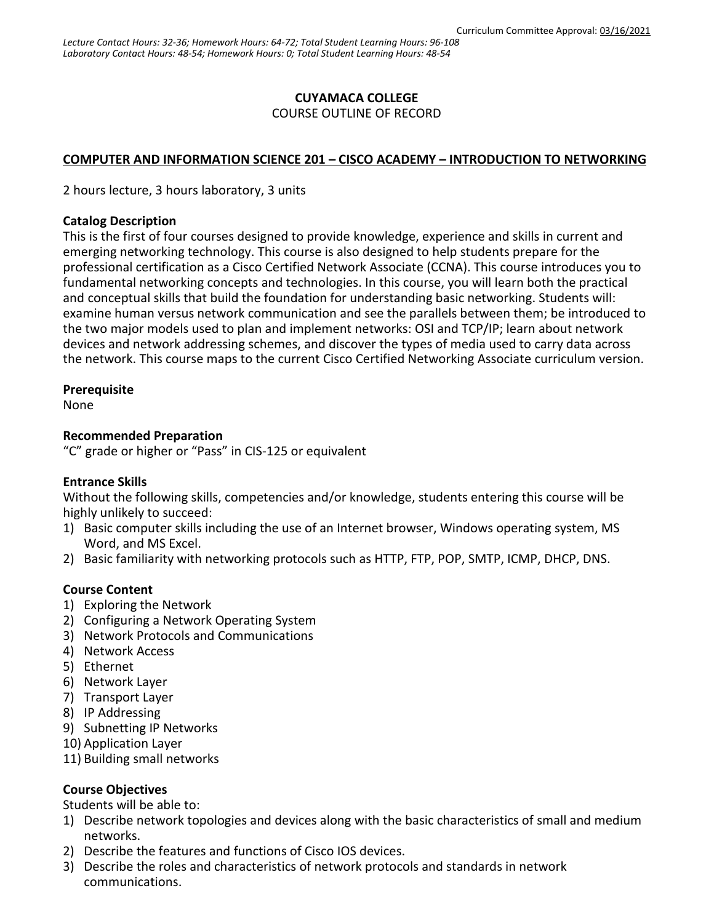## **CUYAMACA COLLEGE**

COURSE OUTLINE OF RECORD

### **COMPUTER AND INFORMATION SCIENCE 201 – CISCO ACADEMY – INTRODUCTION TO NETWORKING**

2 hours lecture, 3 hours laboratory, 3 units

#### **Catalog Description**

This is the first of four courses designed to provide knowledge, experience and skills in current and emerging networking technology. This course is also designed to help students prepare for the professional certification as a Cisco Certified Network Associate (CCNA). This course introduces you to fundamental networking concepts and technologies. In this course, you will learn both the practical and conceptual skills that build the foundation for understanding basic networking. Students will: examine human versus network communication and see the parallels between them; be introduced to the two major models used to plan and implement networks: OSI and TCP/IP; learn about network devices and network addressing schemes, and discover the types of media used to carry data across the network. This course maps to the current Cisco Certified Networking Associate curriculum version.

#### **Prerequisite**

None

#### **Recommended Preparation**

"C" grade or higher or "Pass" in CIS-125 or equivalent

#### **Entrance Skills**

Without the following skills, competencies and/or knowledge, students entering this course will be highly unlikely to succeed:

- 1) Basic computer skills including the use of an Internet browser, Windows operating system, MS Word, and MS Excel.
- 2) Basic familiarity with networking protocols such as HTTP, FTP, POP, SMTP, ICMP, DHCP, DNS.

#### **Course Content**

- 1) Exploring the Network
- 2) Configuring a Network Operating System
- 3) Network Protocols and Communications
- 4) Network Access
- 5) Ethernet
- 6) Network Layer
- 7) Transport Layer
- 8) IP Addressing
- 9) Subnetting IP Networks
- 10) Application Layer
- 11) Building small networks

#### **Course Objectives**

Students will be able to:

- 1) Describe network topologies and devices along with the basic characteristics of small and medium networks.
- 2) Describe the features and functions of Cisco IOS devices.
- 3) Describe the roles and characteristics of network protocols and standards in network communications.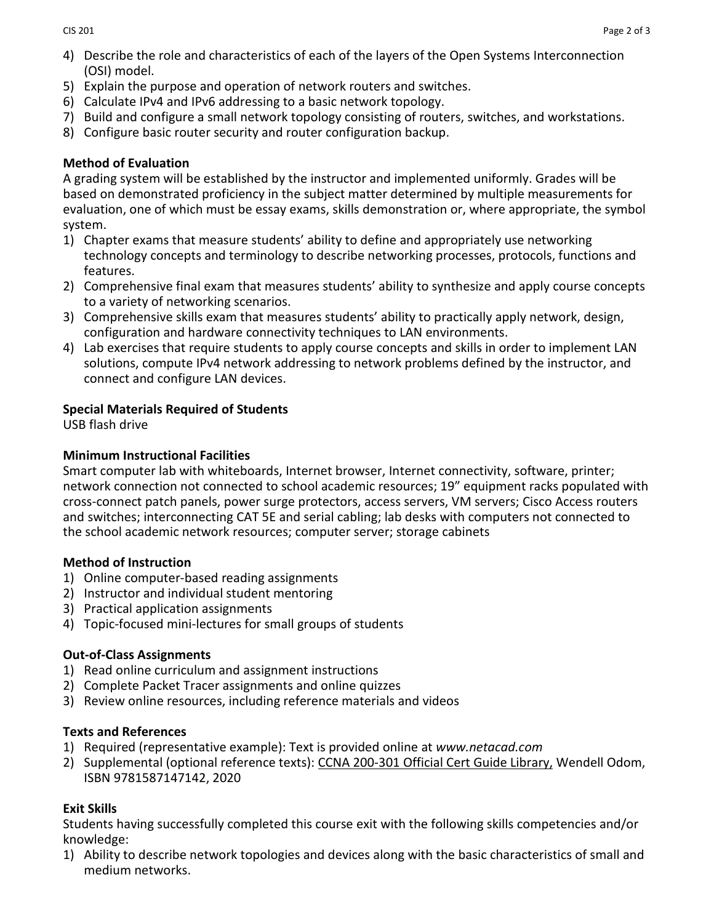- 4) Describe the role and characteristics of each of the layers of the Open Systems Interconnection (OSI) model.
- 5) Explain the purpose and operation of network routers and switches.
- 6) Calculate IPv4 and IPv6 addressing to a basic network topology.
- 7) Build and configure a small network topology consisting of routers, switches, and workstations.
- 8) Configure basic router security and router configuration backup.

## **Method of Evaluation**

A grading system will be established by the instructor and implemented uniformly. Grades will be based on demonstrated proficiency in the subject matter determined by multiple measurements for evaluation, one of which must be essay exams, skills demonstration or, where appropriate, the symbol system.

- 1) Chapter exams that measure students' ability to define and appropriately use networking technology concepts and terminology to describe networking processes, protocols, functions and features.
- 2) Comprehensive final exam that measures students' ability to synthesize and apply course concepts to a variety of networking scenarios.
- 3) Comprehensive skills exam that measures students' ability to practically apply network, design, configuration and hardware connectivity techniques to LAN environments.
- 4) Lab exercises that require students to apply course concepts and skills in order to implement LAN solutions, compute IPv4 network addressing to network problems defined by the instructor, and connect and configure LAN devices.

## **Special Materials Required of Students**

USB flash drive

## **Minimum Instructional Facilities**

Smart computer lab with whiteboards, Internet browser, Internet connectivity, software, printer; network connection not connected to school academic resources; 19" equipment racks populated with cross-connect patch panels, power surge protectors, access servers, VM servers; Cisco Access routers and switches; interconnecting CAT 5E and serial cabling; lab desks with computers not connected to the school academic network resources; computer server; storage cabinets

#### **Method of Instruction**

- 1) Online computer-based reading assignments
- 2) Instructor and individual student mentoring
- 3) Practical application assignments
- 4) Topic-focused mini-lectures for small groups of students

# **Out-of-Class Assignments**

- 1) Read online curriculum and assignment instructions
- 2) Complete Packet Tracer assignments and online quizzes
- 3) Review online resources, including reference materials and videos

# **Texts and References**

- 1) Required (representative example): Text is provided online at *www.netacad.com*
- 2) Supplemental (optional reference texts): [CCNA 200-301 Official Cert Guide Library,](https://www.ciscopress.com/store/ccna-200-301-official-cert-guide-library-9781587147142) Wendell Odom, ISBN 9781587147142, 2020

# **Exit Skills**

Students having successfully completed this course exit with the following skills competencies and/or knowledge:

1) Ability to describe network topologies and devices along with the basic characteristics of small and medium networks.